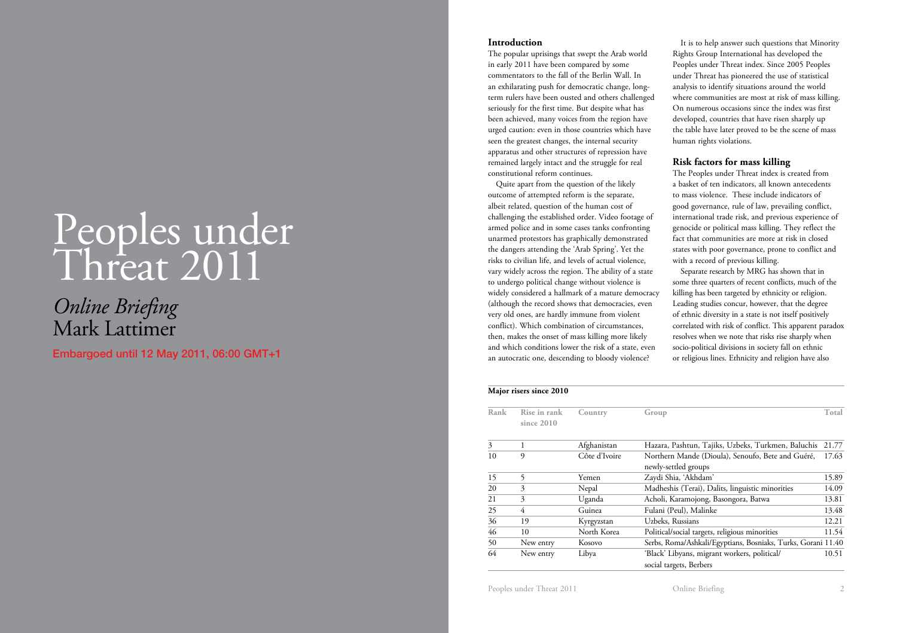# Peoples under Threat 2011

# *Online Briefing* Mark Lattimer

Embargoed until 12 May 2011, 06:00 GMT+1

## **Introduction**

The popular uprisings that swept the Arab world in early 2011 have been compared by some commentators to the fall of the Berlin Wall. In an exhilarating push for democratic change, longterm rulers have been ousted and others challenged seriously for the first time. But despite what has been achieved, many voices from the region have urged caution: even in those countries which have seen the greatest changes, the internal security apparatus and other structures of repression have remained largely intact and the struggle for real constitutional reform continues.

Quite apart from the question of the likely outcome of attempted reform is the separate, albeit related, question of the human cost of challenging the established order. Video footage of armed police and in some cases tanks confronting unarmed protestors has graphically demonstrated the dangers attending the 'Arab Spring'. Yet the risks to civilian life, and levels of actual violence, vary widely across the region. The ability of a state to undergo political change without violence is widely considered a hallmark of a mature democracy (although the record shows that democracies, even very old ones, are hardly immune from violent conflict). Which combination of circumstances, then, makes the onset of mass killing more likely and which conditions lower the risk of a state, even an autocratic one, descending to bloody violence?

It is to help answer such questions that Minority Rights Group International has developed the Peoples under Threat index. Since 2005 Peoples under Threat has pioneered the use of statistical analysis to identify situations around the world where communities are most at risk of mass killing. On numerous occasions since the index was first developed, countries that have risen sharply up the table have later proved to be the scene of mass human rights violations.

# **Risk factors for mass killing**

The Peoples under Threat index is created from a basket of ten indicators, all known antecedents to mass violence. These include indicators of good governance, rule of law, prevailing conflict, international trade risk, and previous experience of genocide or political mass killing. They reflect the fact that communities are more at risk in closed states with poor governance, prone to conflict and with a record of previous killing.

Separate research by MRG has shown that in some three quarters of recent conflicts, much of the killing has been targeted by ethnicity or religion. Leading studies concur, however, that the degree of ethnic diversity in a state is not itself positively correlated with risk of conflict. This apparent paradox resolves when we note that risks rise sharply when socio-political divisions in society fall on ethnic or religious lines. Ethnicity and religion have also

#### **Major risers since 2010**

| Rank | Rise in rank<br>since $2010$ | Country       | Group                                                        | Total |
|------|------------------------------|---------------|--------------------------------------------------------------|-------|
| 3    |                              | Afghanistan   | Hazara, Pashtun, Tajiks, Uzbeks, Turkmen, Baluchis           | 21.77 |
| 10   | 9                            | Côte d'Ivoire | Northern Mande (Dioula), Senoufo, Bete and Guéré,            | 17.63 |
|      |                              |               | newly-settled groups                                         |       |
| 15   | 5                            | Yemen         | Zaydi Shia, 'Akhdam'                                         | 15.89 |
| 20   | 3                            | Nepal         | Madheshis (Terai), Dalits, linguistic minorities             | 14.09 |
| 21   | 3                            | Uganda        | Acholi, Karamojong, Basongora, Batwa                         | 13.81 |
| 25   | 4                            | Guinea        | Fulani (Peul), Malinke                                       | 13.48 |
| 36   | 19                           | Kyrgyzstan    | Uzbeks, Russians                                             | 12.21 |
| 46   | 10                           | North Korea   | Political/social targets, religious minorities               | 11.54 |
| 50   | New entry                    | Kosovo        | Serbs, Roma/Ashkali/Egyptians, Bosniaks, Turks, Gorani 11.40 |       |
| 64   | New entry                    | Libya         | 'Black' Libyans, migrant workers, political/                 | 10.51 |
|      |                              |               | social targets, Berbers                                      |       |

Peoples under Threat 2011 **Community Community Community Community Community Community Community Community Community Community Community Community Community Community Community Community Community Community Community Commu**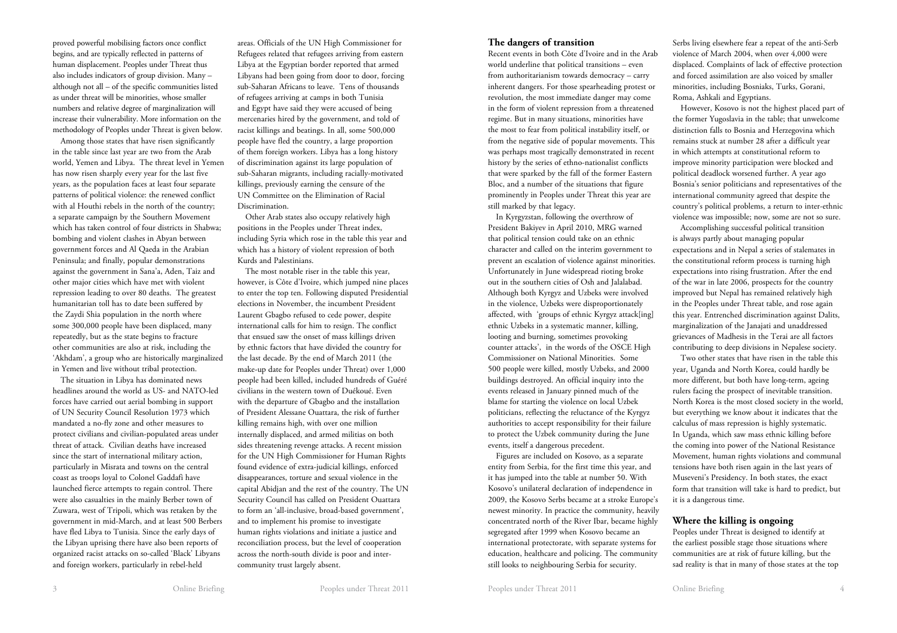proved powerful mobilising factors once conflict begins, and are typically reflected in patterns of human displacement. Peoples under Threat thus also includes indicators of group division. Many – although not all – of the specific communities listed as under threat will be minorities, whose smaller numbers and relative degree of marginalization will increase their vulnerability. More information on the methodology of Peoples under Threat is given below.

Among those states that have risen significantly in the table since last year are two from the Arab world, Yemen and Libya. The threat level in Yemen has now risen sharply every year for the last five years, as the population faces at least four separate patterns of political violence: the renewed conflict with al Houthi rebels in the north of the country; a separate campaign by the Southern Movement which has taken control of four districts in Shabwa; bombing and violent clashes in Abyan between government forces and Al Qaeda in the Arabian Peninsula; and finally, popular demonstrations against the government in Sana'a, Aden, Taiz and other major cities which have met with violent repression leading to over 80 deaths. The greatest humanitarian toll has to date been suffered by the Zaydi Shia population in the north where some 300,000 people have been displaced, many repeatedly, but as the state begins to fracture other communities are also at risk, including the 'Akhdam', a group who are historically marginalized in Yemen and live without tribal protection.

The situation in Libya has dominated news headlines around the world as US- and NATO-led forces have carried out aerial bombing in support of UN Security Council Resolution 1973 which mandated a no-fly zone and other measures to protect civilians and civilian-populated areas under threat of attack. Civilian deaths have increased since the start of international military action, particularly in Misrata and towns on the central coast as troops loyal to Colonel Gaddafi have launched fierce attempts to regain control. There were also casualties in the mainly Berber town of Zuwara, west of Tripoli, which was retaken by the government in mid-March, and at least 500 Berbers have fled Libya to Tunisia. Since the early days of the Libyan uprising there have also been reports of organized racist attacks on so-called 'Black' Libyans and foreign workers, particularly in rebel-held

areas. Officials of the UN High Commissioner for Refugees related that refugees arriving from eastern Libya at the Egyptian border reported that armed Libyans had been going from door to door, forcing sub-Saharan Africans to leave. Tens of thousands of refugees arriving at camps in both Tunisia and Egypt have said they were accused of being mercenaries hired by the government, and told of racist killings and beatings. In all, some 500,000 people have fled the country, a large proportion of them foreign workers. Libya has a long history of discrimination against its large population of sub-Saharan migrants, including racially-motivated killings, previously earning the censure of the UN Committee on the Elimination of Racial Discrimination.

Other Arab states also occupy relatively high positions in the Peoples under Threat index, including Syria which rose in the table this year and which has a history of violent repression of both Kurds and Palestinians.

The most notable riser in the table this year, however, is Côte d'Ivoire, which jumped nine places to enter the top ten. Following disputed Presidential elections in November, the incumbent President Laurent Gbagbo refused to cede power, despite international calls for him to resign. The conflict that ensued saw the onset of mass killings driven by ethnic factors that have divided the country for the last decade. By the end of March 2011 (the make-up date for Peoples under Threat) over 1,000 people had been killed, included hundreds of Guéré civilians in the western town of Duékoué. Even with the departure of Gbagbo and the installation of President Alessane Ouattara, the risk of further killing remains high, with over one million internally displaced, and armed militias on both sides threatening revenge attacks. A recent mission for the UN High Commissioner for Human Rights found evidence of extra-judicial killings, enforced disappearances, torture and sexual violence in the capital Abidjan and the rest of the country. The UN Security Council has called on President Ouattara to form an 'all-inclusive, broad-based government', and to implement his promise to investigate human rights violations and initiate a justice and reconciliation process, but the level of cooperation across the north-south divide is poor and intercommunity trust largely absent.

#### **The dangers of transition**

Recent events in both Côte d'Ivoire and in the Arab world underline that political transitions – even from authoritarianism towards democracy – carry inherent dangers. For those spearheading protest or revolution, the most immediate danger may come in the form of violent repression from a threatened regime. But in many situations, minorities have the most to fear from political instability itself, or from the negative side of popular movements. This was perhaps most tragically demonstrated in recent history by the series of ethno-nationalist conflicts that were sparked by the fall of the former Eastern Bloc, and a number of the situations that figure prominently in Peoples under Threat this year are still marked by that legacy.

In Kyrgyzstan, following the overthrow of President Bakiyev in April 2010, MRG warned that political tension could take on an ethnic character and called on the interim government to prevent an escalation of violence against minorities. Unfortunately in June widespread rioting broke out in the southern cities of Osh and Jalalabad. Although both Kyrgyz and Uzbeks were involved in the violence, Uzbeks were disproportionately affected, with 'groups of ethnic Kyrgyz attack[ing] ethnic Uzbeks in a systematic manner, killing, looting and burning, sometimes provoking counter attacks', in the words of the OSCE High Commissioner on National Minorities. Some 500 people were killed, mostly Uzbeks, and 2000 buildings destroyed. An official inquiry into the events released in January pinned much of the blame for starting the violence on local Uzbek politicians, reflecting the reluctance of the Kyrgyz authorities to accept responsibility for their failure to protect the Uzbek community during the June events, itself a dangerous precedent.

Figures are included on Kosovo, as a separate entity from Serbia, for the first time this year, and it has jumped into the table at number 50. With Kosovo's unilateral declaration of independence in 2009, the Kosovo Serbs became at a stroke Europe's newest minority. In practice the community, heavily concentrated north of the River Ibar, became highly segregated after 1999 when Kosovo became an international protectorate, with separate systems for education, healthcare and policing. The community still looks to neighbouring Serbia for security.

Serbs living elsewhere fear a repeat of the anti-Serb violence of March 2004, when over 4,000 were displaced. Complaints of lack of effective protection and forced assimilation are also voiced by smaller minorities, including Bosniaks, Turks, Gorani, Roma, Ashkali and Egyptians.

However, Kosovo is not the highest placed part of the former Yugoslavia in the table; that unwelcome distinction falls to Bosnia and Herzegovina which remains stuck at number 28 after a difficult year in which attempts at constitutional reform to improve minority participation were blocked and political deadlock worsened further. A year ago Bosnia's senior politicians and representatives of the international community agreed that despite the country's political problems, a return to inter-ethnic violence was impossible; now, some are not so sure.

Accomplishing successful political transition is always partly about managing popular expectations and in Nepal a series of stalemates in the constitutional reform process is turning high expectations into rising frustration. After the end of the war in late 2006, prospects for the country improved but Nepal has remained relatively high in the Peoples under Threat table, and rose again this year. Entrenched discrimination against Dalits, marginalization of the Janajati and unaddressed grievances of Madhesis in the Terai are all factors contributing to deep divisions in Nepalese society.

Two other states that have risen in the table this year, Uganda and North Korea, could hardly be more different, but both have long-term, ageing rulers facing the prospect of inevitable transition. North Korea is the most closed society in the world, but everything we know about it indicates that the calculus of mass repression is highly systematic. In Uganda, which saw mass ethnic killing before the coming into power of the National Resistance Movement, human rights violations and communal tensions have both risen again in the last years of Museveni's Presidency. In both states, the exact form that transition will take is hard to predict, but it is a dangerous time.

# **Where the killing is ongoing**

Peoples under Threat is designed to identify at the earliest possible stage those situations where communities are at risk of future killing, but the sad reality is that in many of those states at the top

3 Online Briefing Peoples under Threat 2011 Peoples under Threat 2011 Peoples under Threat 2011 Online Briefing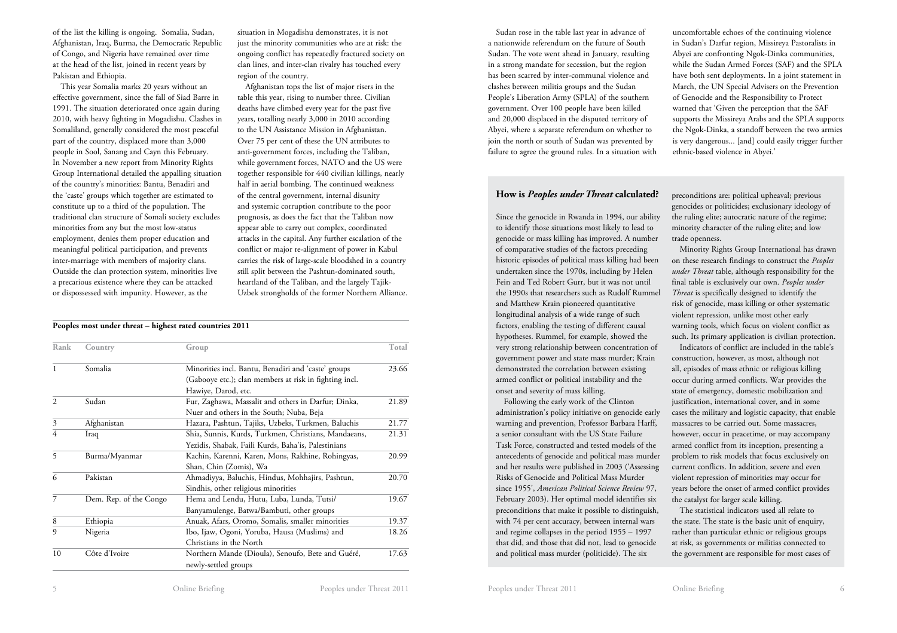of the list the killing is ongoing. Somalia, Sudan, Afghanistan, Iraq, Burma, the Democratic Republic of Congo, and Nigeria have remained over time at the head of the list, joined in recent years by Pakistan and Ethiopia.

This year Somalia marks 20 years without an effective government, since the fall of Siad Barre in 1991. The situation deteriorated once again during 2010, with heavy fighting in Mogadishu. Clashes in Somaliland, generally considered the most peaceful part of the country, displaced more than 3,000 people in Sool, Sanang and Cayn this February. In November a new report from Minority Rights Group International detailed the appalling situation of the country's minorities: Bantu, Benadiri and the 'caste' groups which together are estimated to constitute up to a third of the population. The traditional clan structure of Somali society excludes minorities from any but the most low-status employment, denies them proper education and meaningful political participation, and prevents inter-marriage with members of majority clans. Outside the clan protection system, minorities live a precarious existence where they can be attacked or dispossessed with impunity. However, as the

situation in Mogadishu demonstrates, it is not just the minority communities who are at risk: the ongoing conflict has repeatedly fractured society on clan lines, and inter-clan rivalry has touched every region of the country.

Afghanistan tops the list of major risers in the table this year, rising to number three. Civilian deaths have climbed every year for the past five years, totalling nearly 3,000 in 2010 according to the UN Assistance Mission in Afghanistan. Over 75 per cent of these the UN attributes to anti-government forces, including the Taliban, while government forces, NATO and the US were together responsible for 440 civilian killings, nearly half in aerial bombing. The continued weakness of the central government, internal disunity and systemic corruption contribute to the poor prognosis, as does the fact that the Taliban now appear able to carry out complex, coordinated attacks in the capital. Any further escalation of the conflict or major re-alignment of power in Kabul carries the risk of large-scale bloodshed in a country still split between the Pashtun-dominated south, heartland of the Taliban, and the largely Tajik-Uzbek strongholds of the former Northern Alliance.

#### **Peoples most under threat – highest rated countries 2011**

| Rank | Country                | Group                                                  | Total |
|------|------------------------|--------------------------------------------------------|-------|
| 1    | Somalia                | Minorities incl. Bantu, Benadiri and 'caste' groups    | 23.66 |
|      |                        | (Gabooye etc.); clan members at risk in fighting incl. |       |
|      |                        | Hawiye, Darod, etc.                                    |       |
| 2    | Sudan                  | Fur, Zaghawa, Massalit and others in Darfur; Dinka,    | 21.89 |
|      |                        | Nuer and others in the South; Nuba, Beja               |       |
| 3    | Afghanistan            | Hazara, Pashtun, Tajiks, Uzbeks, Turkmen, Baluchis     | 21.77 |
| 4    | Iraq                   | Shia, Sunnis, Kurds, Turkmen, Christians, Mandaeans,   | 21.31 |
|      |                        | Yezidis, Shabak, Faili Kurds, Baha'is, Palestinians    |       |
| 5    | Burma/Myanmar          | Kachin, Karenni, Karen, Mons, Rakhine, Rohingyas,      | 20.99 |
|      |                        | Shan, Chin (Zomis), Wa                                 |       |
| 6    | Pakistan               | Ahmadiyya, Baluchis, Hindus, Mohhajirs, Pashtun,       | 20.70 |
|      |                        | Sindhis, other religious minorities                    |       |
| 7    | Dem. Rep. of the Congo | Hema and Lendu, Hutu, Luba, Lunda, Tutsi/              | 19.67 |
|      |                        | Banyamulenge, Batwa/Bambuti, other groups              |       |
| 8    | Ethiopia               | Anuak, Afars, Oromo, Somalis, smaller minorities       | 19.37 |
| 9    | Nigeria                | Ibo, Ijaw, Ogoni, Yoruba, Hausa (Muslims) and          | 18.26 |
|      |                        | Christians in the North                                |       |
| 10   | Côte d'Ivoire          | Northern Mande (Dioula), Senoufo, Bete and Guéré,      | 17.63 |
|      |                        | newly-settled groups                                   |       |
|      |                        |                                                        |       |

Sudan rose in the table last year in advance of a nationwide referendum on the future of South Sudan. The vote went ahead in January, resulting in a strong mandate for secession, but the region has been scarred by inter-communal violence and clashes between militia groups and the Sudan People's Liberation Army (SPLA) of the southern government. Over 100 people have been killed and 20,000 displaced in the disputed territory of Abyei, where a separate referendum on whether to join the north or south of Sudan was prevented by failure to agree the ground rules. In a situation with uncomfortable echoes of the continuing violence in Sudan's Darfur region, Missireya Pastoralists in Abyei are confronting Ngok-Dinka communities, while the Sudan Armed Forces (SAF) and the SPLA have both sent deployments. In a joint statement in March, the UN Special Advisers on the Prevention of Genocide and the Responsibility to Protect warned that 'Given the perception that the SAF supports the Missireya Arabs and the SPLA supports the Ngok-Dinka, a standoff between the two armies is very dangerous... [and] could easily trigger further ethnic-based violence in Abyei.'

### **How is** *Peoples under Threat* **calculated?**

Since the genocide in Rwanda in 1994, our ability to identify those situations most likely to lead to genocide or mass killing has improved. A number of comparative studies of the factors preceding historic episodes of political mass killing had been undertaken since the 1970s, including by Helen Fein and Ted Robert Gurr, but it was not until the 1990s that researchers such as Rudolf Rummel and Matthew Krain pioneered quantitative longitudinal analysis of a wide range of such factors, enabling the testing of different causal hypotheses. Rummel, for example, showed the very strong relationship between concentration of government power and state mass murder; Krain demonstrated the correlation between existing armed conflict or political instability and the onset and severity of mass killing.

Following the early work of the Clinton administration's policy initiative on genocide early warning and prevention, Professor Barbara Harff, a senior consultant with the US State Failure Task Force, constructed and tested models of the antecedents of genocide and political mass murder and her results were published in 2003 ('Assessing Risks of Genocide and Political Mass Murder since 1955', *American Political Science Review* 97, February 2003). Her optimal model identifies six preconditions that make it possible to distinguish, with 74 per cent accuracy, between internal wars and regime collapses in the period 1955 – 1997 that did, and those that did not, lead to genocide and political mass murder (politicide). The six

preconditions are: political upheaval; previous genocides or politicides; exclusionary ideology of the ruling elite; autocratic nature of the regime; minority character of the ruling elite; and low trade openness.

Minority Rights Group International has drawn on these research findings to construct the *Peoples under Threat* table, although responsibility for the final table is exclusively our own. *Peoples under Threat* is specifically designed to identify the risk of genocide, mass killing or other systematic violent repression, unlike most other early warning tools, which focus on violent conflict as such. Its primary application is civilian protection.

Indicators of conflict are included in the table's construction, however, as most, although not all, episodes of mass ethnic or religious killing occur during armed conflicts. War provides the state of emergency, domestic mobilization and justification, international cover, and in some cases the military and logistic capacity, that enable massacres to be carried out. Some massacres, however, occur in peacetime, or may accompany armed conflict from its inception, presenting a problem to risk models that focus exclusively on current conflicts. In addition, severe and even violent repression of minorities may occur for years before the onset of armed conflict provides the catalyst for larger scale killing.

The statistical indicators used all relate to the state. The state is the basic unit of enquiry, rather than particular ethnic or religious groups at risk, as governments or militias connected to the government are responsible for most cases of